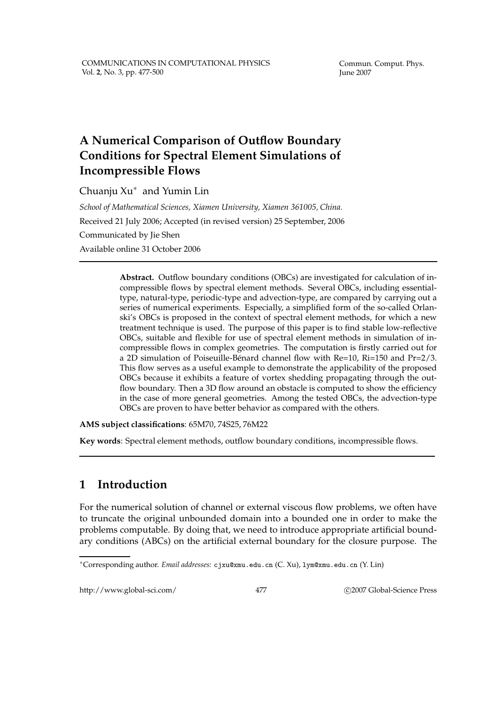Commun. Comput. Phys. June 2007

## **A Numerical Comparison of Outflow Boundary Conditions for Spectral Element Simulations of Incompressible Flows**

Chuanju Xu<sup>∗</sup> and Yumin Lin

*School of Mathematical Sciences, Xiamen University, Xiamen 361005, China.* Received 21 July 2006; Accepted (in revised version) 25 September, 2006 Communicated by Jie Shen Available online 31 October 2006

> **Abstract.** Outflow boundary conditions (OBCs) are investigated for calculation of incompressible flows by spectral element methods. Several OBCs, including essentialtype, natural-type, periodic-type and advection-type, are compared by carrying out a series of numerical experiments. Especially, a simplified form of the so-called Orlanski's OBCs is proposed in the context of spectral element methods, for which a new treatment technique is used. The purpose of this paper is to find stable low-reflective OBCs, suitable and flexible for use of spectral element methods in simulation of incompressible flows in complex geometries. The computation is firstly carried out for a 2D simulation of Poiseuille-Bénard channel flow with  $Re=10$ ,  $Ri=150$  and  $Pr=2/3$ . This flow serves as a useful example to demonstrate the applicability of the proposed OBCs because it exhibits a feature of vortex shedding propagating through the outflow boundary. Then a 3D flow around an obstacle is computed to show the efficiency in the case of more general geometries. Among the tested OBCs, the advection-type OBCs are proven to have better behavior as compared with the others.

**AMS subject classifications**: 65M70, 74S25, 76M22

**Key words**: Spectral element methods, outflow boundary conditions, incompressible flows.

## **1 Introduction**

For the numerical solution of channel or external viscous flow problems, we often have to truncate the original unbounded domain into a bounded one in order to make the problems computable. By doing that, we need to introduce appropriate artificial boundary conditions (ABCs) on the artificial external boundary for the closure purpose. The

http://www.global-sci.com/ 477 C 2007 Global-Science Press

<sup>∗</sup>Corresponding author. *Email addresses:* cjxu@xmu.edu.cn (C. Xu), lym@xmu.edu.cn (Y. Lin)